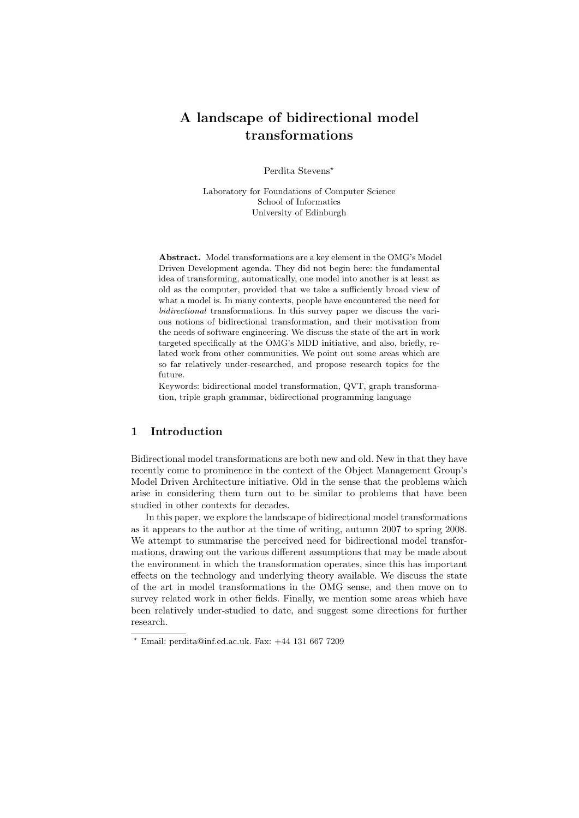# A landscape of bidirectional model transformations

Perdita Stevens<sup>\*</sup>

Laboratory for Foundations of Computer Science School of Informatics University of Edinburgh

Abstract. Model transformations are a key element in the OMG's Model Driven Development agenda. They did not begin here: the fundamental idea of transforming, automatically, one model into another is at least as old as the computer, provided that we take a sufficiently broad view of what a model is. In many contexts, people have encountered the need for bidirectional transformations. In this survey paper we discuss the various notions of bidirectional transformation, and their motivation from the needs of software engineering. We discuss the state of the art in work targeted specifically at the OMG's MDD initiative, and also, briefly, related work from other communities. We point out some areas which are so far relatively under-researched, and propose research topics for the future.

Keywords: bidirectional model transformation, QVT, graph transformation, triple graph grammar, bidirectional programming language

# 1 Introduction

Bidirectional model transformations are both new and old. New in that they have recently come to prominence in the context of the Object Management Group's Model Driven Architecture initiative. Old in the sense that the problems which arise in considering them turn out to be similar to problems that have been studied in other contexts for decades.

In this paper, we explore the landscape of bidirectional model transformations as it appears to the author at the time of writing, autumn 2007 to spring 2008. We attempt to summarise the perceived need for bidirectional model transformations, drawing out the various different assumptions that may be made about the environment in which the transformation operates, since this has important effects on the technology and underlying theory available. We discuss the state of the art in model transformations in the OMG sense, and then move on to survey related work in other fields. Finally, we mention some areas which have been relatively under-studied to date, and suggest some directions for further research.

 $*$  Email: perdita@inf.ed.ac.uk. Fax:  $+44$  131 667 7209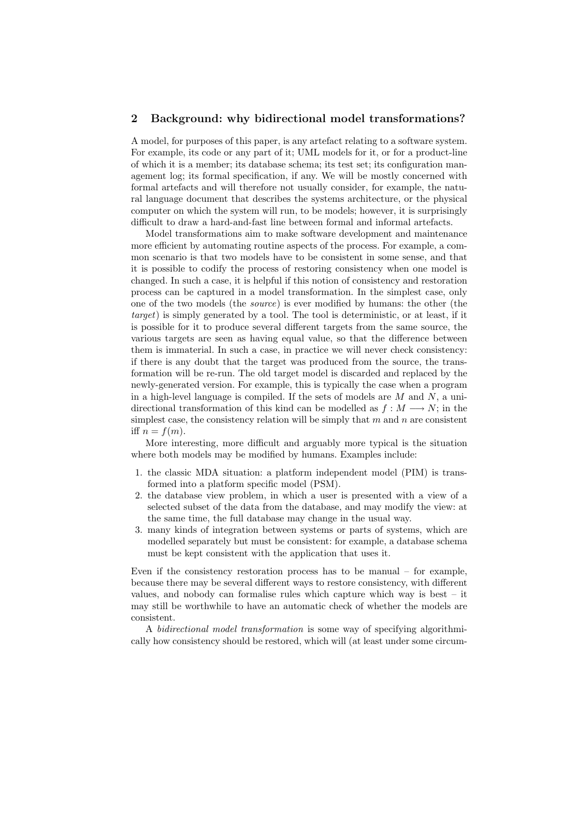### 2 Background: why bidirectional model transformations?

A model, for purposes of this paper, is any artefact relating to a software system. For example, its code or any part of it; UML models for it, or for a product-line of which it is a member; its database schema; its test set; its configuration management log; its formal specification, if any. We will be mostly concerned with formal artefacts and will therefore not usually consider, for example, the natural language document that describes the systems architecture, or the physical computer on which the system will run, to be models; however, it is surprisingly difficult to draw a hard-and-fast line between formal and informal artefacts.

Model transformations aim to make software development and maintenance more efficient by automating routine aspects of the process. For example, a common scenario is that two models have to be consistent in some sense, and that it is possible to codify the process of restoring consistency when one model is changed. In such a case, it is helpful if this notion of consistency and restoration process can be captured in a model transformation. In the simplest case, only one of the two models (the source) is ever modified by humans: the other (the target) is simply generated by a tool. The tool is deterministic, or at least, if it is possible for it to produce several different targets from the same source, the various targets are seen as having equal value, so that the difference between them is immaterial. In such a case, in practice we will never check consistency: if there is any doubt that the target was produced from the source, the transformation will be re-run. The old target model is discarded and replaced by the newly-generated version. For example, this is typically the case when a program in a high-level language is compiled. If the sets of models are  $M$  and  $N$ , a unidirectional transformation of this kind can be modelled as  $f : M \longrightarrow N$ ; in the simplest case, the consistency relation will be simply that  $m$  and  $n$  are consistent iff  $n = f(m)$ .

More interesting, more difficult and arguably more typical is the situation where both models may be modified by humans. Examples include:

- 1. the classic MDA situation: a platform independent model (PIM) is transformed into a platform specific model (PSM).
- 2. the database view problem, in which a user is presented with a view of a selected subset of the data from the database, and may modify the view: at the same time, the full database may change in the usual way.
- 3. many kinds of integration between systems or parts of systems, which are modelled separately but must be consistent: for example, a database schema must be kept consistent with the application that uses it.

Even if the consistency restoration process has to be manual – for example, because there may be several different ways to restore consistency, with different values, and nobody can formalise rules which capture which way is best – it may still be worthwhile to have an automatic check of whether the models are consistent.

A bidirectional model transformation is some way of specifying algorithmically how consistency should be restored, which will (at least under some circum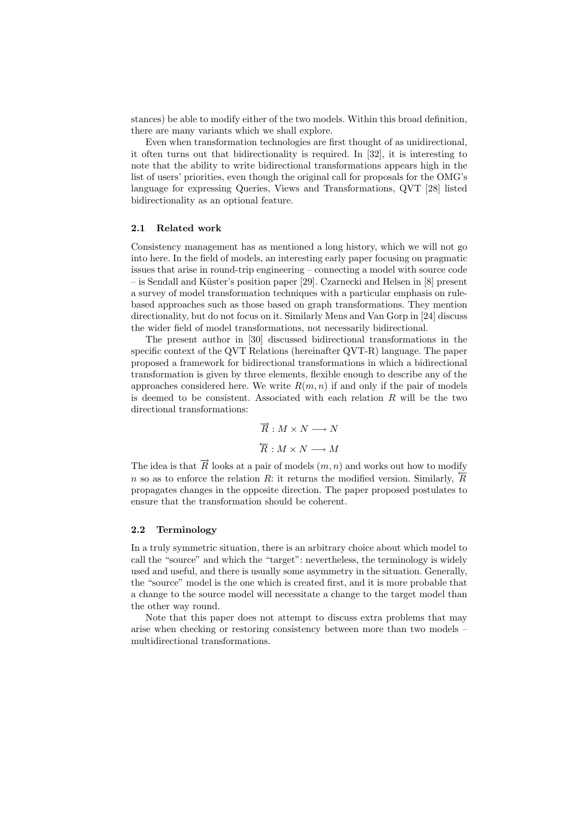stances) be able to modify either of the two models. Within this broad definition, there are many variants which we shall explore.

Even when transformation technologies are first thought of as unidirectional, it often turns out that bidirectionality is required. In [32], it is interesting to note that the ability to write bidirectional transformations appears high in the list of users' priorities, even though the original call for proposals for the OMG's language for expressing Queries, Views and Transformations, QVT [28] listed bidirectionality as an optional feature.

### 2.1 Related work

Consistency management has as mentioned a long history, which we will not go into here. In the field of models, an interesting early paper focusing on pragmatic issues that arise in round-trip engineering – connecting a model with source code – is Sendall and K¨uster's position paper [29]. Czarnecki and Helsen in [8] present a survey of model transformation techniques with a particular emphasis on rulebased approaches such as those based on graph transformations. They mention directionality, but do not focus on it. Similarly Mens and Van Gorp in [24] discuss the wider field of model transformations, not necessarily bidirectional.

The present author in [30] discussed bidirectional transformations in the specific context of the QVT Relations (hereinafter QVT-R) language. The paper proposed a framework for bidirectional transformations in which a bidirectional transformation is given by three elements, flexible enough to describe any of the approaches considered here. We write  $R(m, n)$  if and only if the pair of models is deemed to be consistent. Associated with each relation  $R$  will be the two directional transformations:

$$
\overrightarrow{R}: M \times N \longrightarrow N
$$

$$
\overleftarrow{R}: M \times N \longrightarrow M
$$

The idea is that  $\overrightarrow{R}$  looks at a pair of models  $(m, n)$  and works out how to modify n so as to enforce the relation R: it returns the modified version. Similarly,  $\overline{R}$ propagates changes in the opposite direction. The paper proposed postulates to ensure that the transformation should be coherent.

### 2.2 Terminology

In a truly symmetric situation, there is an arbitrary choice about which model to call the "source" and which the "target": nevertheless, the terminology is widely used and useful, and there is usually some asymmetry in the situation. Generally, the "source" model is the one which is created first, and it is more probable that a change to the source model will necessitate a change to the target model than the other way round.

Note that this paper does not attempt to discuss extra problems that may arise when checking or restoring consistency between more than two models – multidirectional transformations.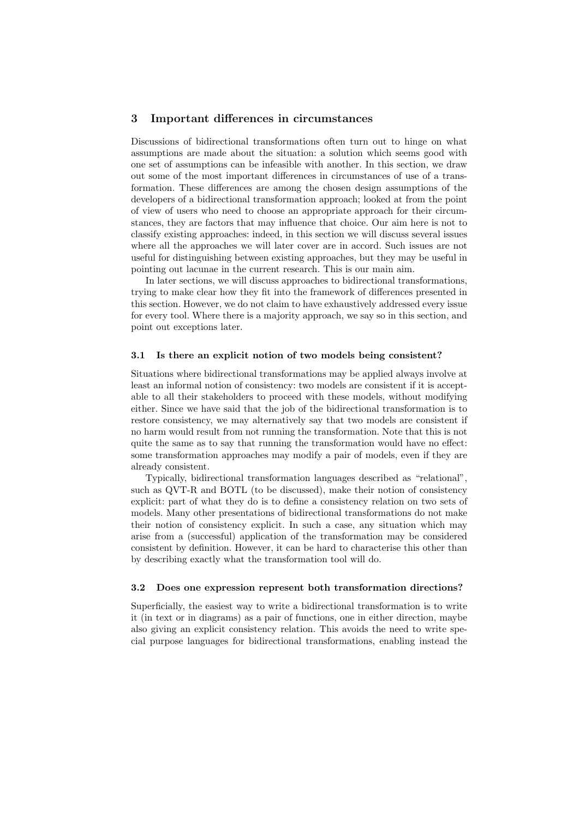### 3 Important differences in circumstances

Discussions of bidirectional transformations often turn out to hinge on what assumptions are made about the situation: a solution which seems good with one set of assumptions can be infeasible with another. In this section, we draw out some of the most important differences in circumstances of use of a transformation. These differences are among the chosen design assumptions of the developers of a bidirectional transformation approach; looked at from the point of view of users who need to choose an appropriate approach for their circumstances, they are factors that may influence that choice. Our aim here is not to classify existing approaches: indeed, in this section we will discuss several issues where all the approaches we will later cover are in accord. Such issues are not useful for distinguishing between existing approaches, but they may be useful in pointing out lacunae in the current research. This is our main aim.

In later sections, we will discuss approaches to bidirectional transformations, trying to make clear how they fit into the framework of differences presented in this section. However, we do not claim to have exhaustively addressed every issue for every tool. Where there is a majority approach, we say so in this section, and point out exceptions later.

### 3.1 Is there an explicit notion of two models being consistent?

Situations where bidirectional transformations may be applied always involve at least an informal notion of consistency: two models are consistent if it is acceptable to all their stakeholders to proceed with these models, without modifying either. Since we have said that the job of the bidirectional transformation is to restore consistency, we may alternatively say that two models are consistent if no harm would result from not running the transformation. Note that this is not quite the same as to say that running the transformation would have no effect: some transformation approaches may modify a pair of models, even if they are already consistent.

Typically, bidirectional transformation languages described as "relational", such as QVT-R and BOTL (to be discussed), make their notion of consistency explicit: part of what they do is to define a consistency relation on two sets of models. Many other presentations of bidirectional transformations do not make their notion of consistency explicit. In such a case, any situation which may arise from a (successful) application of the transformation may be considered consistent by definition. However, it can be hard to characterise this other than by describing exactly what the transformation tool will do.

#### 3.2 Does one expression represent both transformation directions?

Superficially, the easiest way to write a bidirectional transformation is to write it (in text or in diagrams) as a pair of functions, one in either direction, maybe also giving an explicit consistency relation. This avoids the need to write special purpose languages for bidirectional transformations, enabling instead the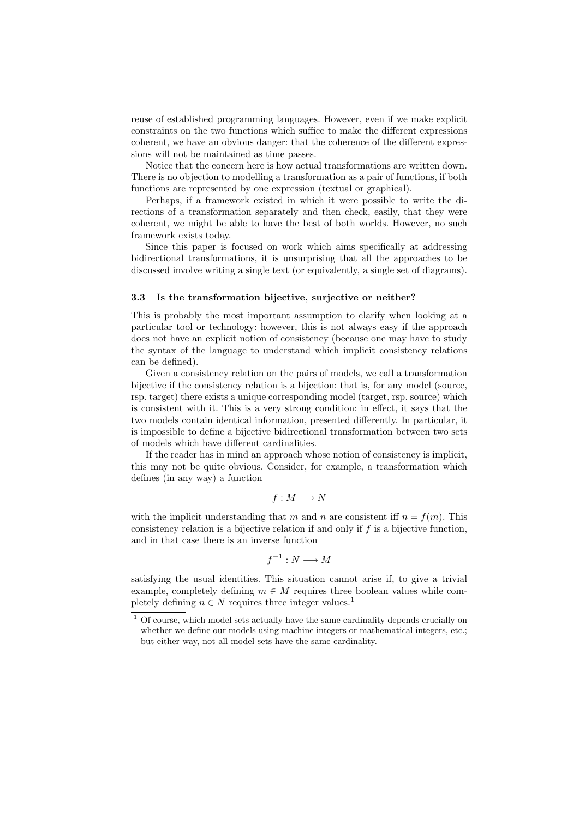reuse of established programming languages. However, even if we make explicit constraints on the two functions which suffice to make the different expressions coherent, we have an obvious danger: that the coherence of the different expressions will not be maintained as time passes.

Notice that the concern here is how actual transformations are written down. There is no objection to modelling a transformation as a pair of functions, if both functions are represented by one expression (textual or graphical).

Perhaps, if a framework existed in which it were possible to write the directions of a transformation separately and then check, easily, that they were coherent, we might be able to have the best of both worlds. However, no such framework exists today.

Since this paper is focused on work which aims specifically at addressing bidirectional transformations, it is unsurprising that all the approaches to be discussed involve writing a single text (or equivalently, a single set of diagrams).

### 3.3 Is the transformation bijective, surjective or neither?

This is probably the most important assumption to clarify when looking at a particular tool or technology: however, this is not always easy if the approach does not have an explicit notion of consistency (because one may have to study the syntax of the language to understand which implicit consistency relations can be defined).

Given a consistency relation on the pairs of models, we call a transformation bijective if the consistency relation is a bijection: that is, for any model (source, rsp. target) there exists a unique corresponding model (target, rsp. source) which is consistent with it. This is a very strong condition: in effect, it says that the two models contain identical information, presented differently. In particular, it is impossible to define a bijective bidirectional transformation between two sets of models which have different cardinalities.

If the reader has in mind an approach whose notion of consistency is implicit, this may not be quite obvious. Consider, for example, a transformation which defines (in any way) a function

 $f : M \longrightarrow N$ 

with the implicit understanding that m and n are consistent iff  $n = f(m)$ . This consistency relation is a bijective relation if and only if f is a bijective function, and in that case there is an inverse function

$$
f^{-1}: N \longrightarrow M
$$

satisfying the usual identities. This situation cannot arise if, to give a trivial example, completely defining  $m \in M$  requires three boolean values while completely defining  $n \in N$  requires three integer values.<sup>1</sup>

<sup>&</sup>lt;sup>1</sup> Of course, which model sets actually have the same cardinality depends crucially on whether we define our models using machine integers or mathematical integers, etc.; but either way, not all model sets have the same cardinality.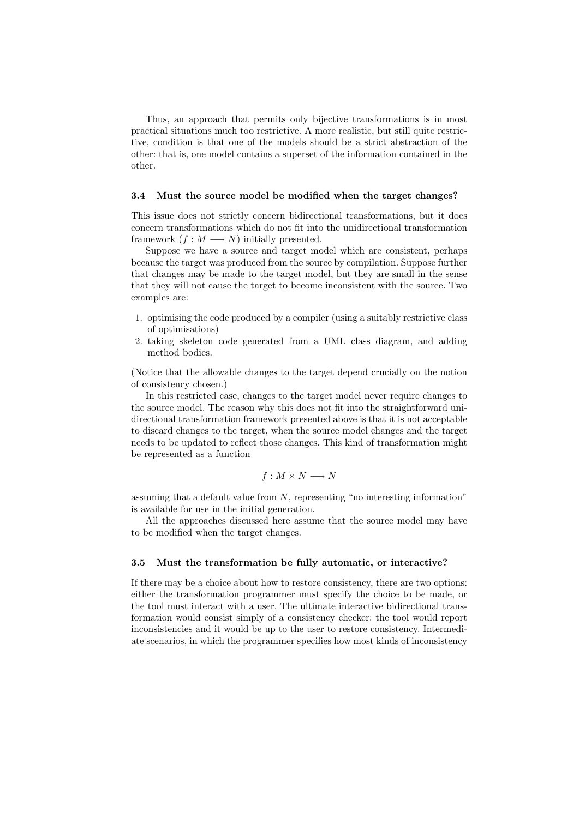Thus, an approach that permits only bijective transformations is in most practical situations much too restrictive. A more realistic, but still quite restrictive, condition is that one of the models should be a strict abstraction of the other: that is, one model contains a superset of the information contained in the other.

### 3.4 Must the source model be modified when the target changes?

This issue does not strictly concern bidirectional transformations, but it does concern transformations which do not fit into the unidirectional transformation framework  $(f : M \longrightarrow N)$  initially presented.

Suppose we have a source and target model which are consistent, perhaps because the target was produced from the source by compilation. Suppose further that changes may be made to the target model, but they are small in the sense that they will not cause the target to become inconsistent with the source. Two examples are:

- 1. optimising the code produced by a compiler (using a suitably restrictive class of optimisations)
- 2. taking skeleton code generated from a UML class diagram, and adding method bodies.

(Notice that the allowable changes to the target depend crucially on the notion of consistency chosen.)

In this restricted case, changes to the target model never require changes to the source model. The reason why this does not fit into the straightforward unidirectional transformation framework presented above is that it is not acceptable to discard changes to the target, when the source model changes and the target needs to be updated to reflect those changes. This kind of transformation might be represented as a function

$$
f: M \times N \longrightarrow N
$$

assuming that a default value from  $N$ , representing "no interesting information" is available for use in the initial generation.

All the approaches discussed here assume that the source model may have to be modified when the target changes.

#### 3.5 Must the transformation be fully automatic, or interactive?

If there may be a choice about how to restore consistency, there are two options: either the transformation programmer must specify the choice to be made, or the tool must interact with a user. The ultimate interactive bidirectional transformation would consist simply of a consistency checker: the tool would report inconsistencies and it would be up to the user to restore consistency. Intermediate scenarios, in which the programmer specifies how most kinds of inconsistency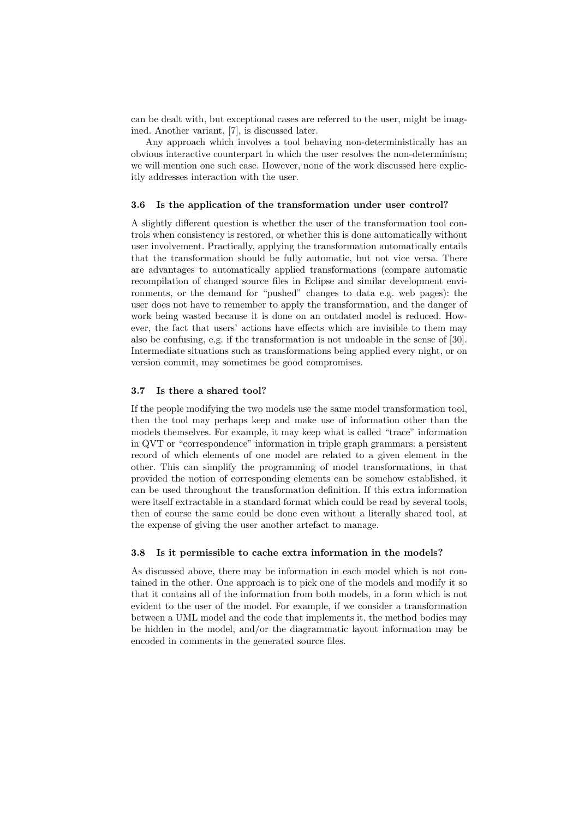can be dealt with, but exceptional cases are referred to the user, might be imagined. Another variant, [7], is discussed later.

Any approach which involves a tool behaving non-deterministically has an obvious interactive counterpart in which the user resolves the non-determinism; we will mention one such case. However, none of the work discussed here explicitly addresses interaction with the user.

### 3.6 Is the application of the transformation under user control?

A slightly different question is whether the user of the transformation tool controls when consistency is restored, or whether this is done automatically without user involvement. Practically, applying the transformation automatically entails that the transformation should be fully automatic, but not vice versa. There are advantages to automatically applied transformations (compare automatic recompilation of changed source files in Eclipse and similar development environments, or the demand for "pushed" changes to data e.g. web pages): the user does not have to remember to apply the transformation, and the danger of work being wasted because it is done on an outdated model is reduced. However, the fact that users' actions have effects which are invisible to them may also be confusing, e.g. if the transformation is not undoable in the sense of [30]. Intermediate situations such as transformations being applied every night, or on version commit, may sometimes be good compromises.

### 3.7 Is there a shared tool?

If the people modifying the two models use the same model transformation tool, then the tool may perhaps keep and make use of information other than the models themselves. For example, it may keep what is called "trace" information in QVT or "correspondence" information in triple graph grammars: a persistent record of which elements of one model are related to a given element in the other. This can simplify the programming of model transformations, in that provided the notion of corresponding elements can be somehow established, it can be used throughout the transformation definition. If this extra information were itself extractable in a standard format which could be read by several tools, then of course the same could be done even without a literally shared tool, at the expense of giving the user another artefact to manage.

### 3.8 Is it permissible to cache extra information in the models?

As discussed above, there may be information in each model which is not contained in the other. One approach is to pick one of the models and modify it so that it contains all of the information from both models, in a form which is not evident to the user of the model. For example, if we consider a transformation between a UML model and the code that implements it, the method bodies may be hidden in the model, and/or the diagrammatic layout information may be encoded in comments in the generated source files.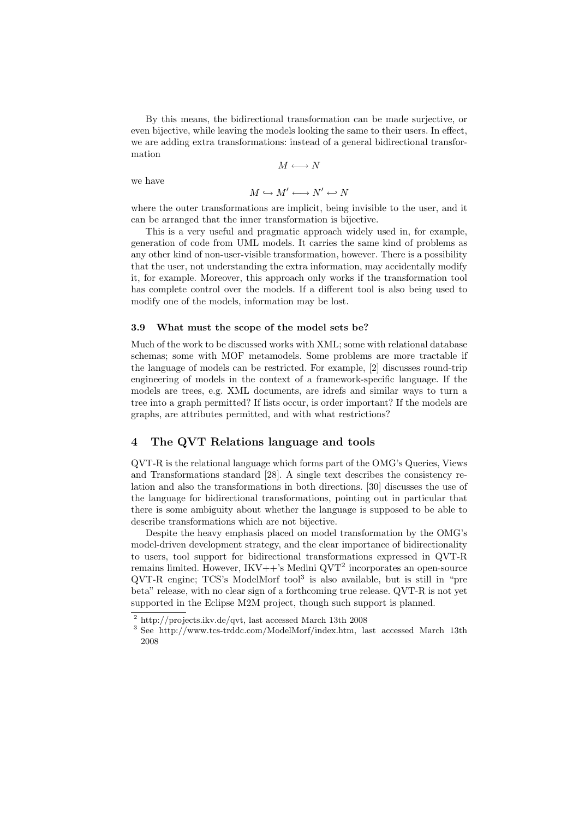By this means, the bidirectional transformation can be made surjective, or even bijective, while leaving the models looking the same to their users. In effect, we are adding extra transformations: instead of a general bidirectional transformation

$$
M \longleftrightarrow N
$$

we have

$$
M\hookrightarrow M'\longleftrightarrow N'\hookrightarrow N
$$

where the outer transformations are implicit, being invisible to the user, and it can be arranged that the inner transformation is bijective.

This is a very useful and pragmatic approach widely used in, for example, generation of code from UML models. It carries the same kind of problems as any other kind of non-user-visible transformation, however. There is a possibility that the user, not understanding the extra information, may accidentally modify it, for example. Moreover, this approach only works if the transformation tool has complete control over the models. If a different tool is also being used to modify one of the models, information may be lost.

### 3.9 What must the scope of the model sets be?

Much of the work to be discussed works with XML; some with relational database schemas; some with MOF metamodels. Some problems are more tractable if the language of models can be restricted. For example, [2] discusses round-trip engineering of models in the context of a framework-specific language. If the models are trees, e.g. XML documents, are idrefs and similar ways to turn a tree into a graph permitted? If lists occur, is order important? If the models are graphs, are attributes permitted, and with what restrictions?

# 4 The QVT Relations language and tools

QVT-R is the relational language which forms part of the OMG's Queries, Views and Transformations standard [28]. A single text describes the consistency relation and also the transformations in both directions. [30] discusses the use of the language for bidirectional transformations, pointing out in particular that there is some ambiguity about whether the language is supposed to be able to describe transformations which are not bijective.

Despite the heavy emphasis placed on model transformation by the OMG's model-driven development strategy, and the clear importance of bidirectionality to users, tool support for bidirectional transformations expressed in QVT-R remains limited. However, IKV++'s Medini QVT<sup>2</sup> incorporates an open-source QVT-R engine; TCS's ModelMorf tool<sup>3</sup> is also available, but is still in "pre beta" release, with no clear sign of a forthcoming true release. QVT-R is not yet supported in the Eclipse M2M project, though such support is planned.

<sup>2</sup> http://projects.ikv.de/qvt, last accessed March 13th 2008

<sup>3</sup> See http://www.tcs-trddc.com/ModelMorf/index.htm, last accessed March 13th 2008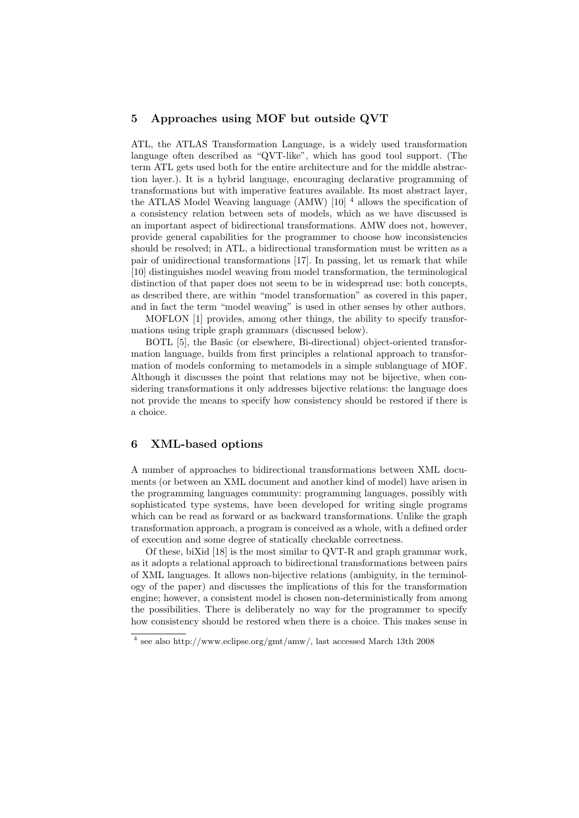# 5 Approaches using MOF but outside QVT

ATL, the ATLAS Transformation Language, is a widely used transformation language often described as "QVT-like", which has good tool support. (The term ATL gets used both for the entire architecture and for the middle abstraction layer.). It is a hybrid language, encouraging declarative programming of transformations but with imperative features available. Its most abstract layer, the ATLAS Model Weaving language (AMW)  $[10]$ <sup>4</sup> allows the specification of a consistency relation between sets of models, which as we have discussed is an important aspect of bidirectional transformations. AMW does not, however, provide general capabilities for the programmer to choose how inconsistencies should be resolved; in ATL, a bidirectional transformation must be written as a pair of unidirectional transformations [17]. In passing, let us remark that while [10] distinguishes model weaving from model transformation, the terminological distinction of that paper does not seem to be in widespread use: both concepts, as described there, are within "model transformation" as covered in this paper, and in fact the term "model weaving" is used in other senses by other authors.

MOFLON [1] provides, among other things, the ability to specify transformations using triple graph grammars (discussed below).

BOTL [5], the Basic (or elsewhere, Bi-directional) object-oriented transformation language, builds from first principles a relational approach to transformation of models conforming to metamodels in a simple sublanguage of MOF. Although it discusses the point that relations may not be bijective, when considering transformations it only addresses bijective relations: the language does not provide the means to specify how consistency should be restored if there is a choice.

### 6 XML-based options

A number of approaches to bidirectional transformations between XML documents (or between an XML document and another kind of model) have arisen in the programming languages community: programming languages, possibly with sophisticated type systems, have been developed for writing single programs which can be read as forward or as backward transformations. Unlike the graph transformation approach, a program is conceived as a whole, with a defined order of execution and some degree of statically checkable correctness.

Of these, biXid [18] is the most similar to QVT-R and graph grammar work, as it adopts a relational approach to bidirectional transformations between pairs of XML languages. It allows non-bijective relations (ambiguity, in the terminology of the paper) and discusses the implications of this for the transformation engine; however, a consistent model is chosen non-deterministically from among the possibilities. There is deliberately no way for the programmer to specify how consistency should be restored when there is a choice. This makes sense in

<sup>4</sup> see also http://www.eclipse.org/gmt/amw/, last accessed March 13th 2008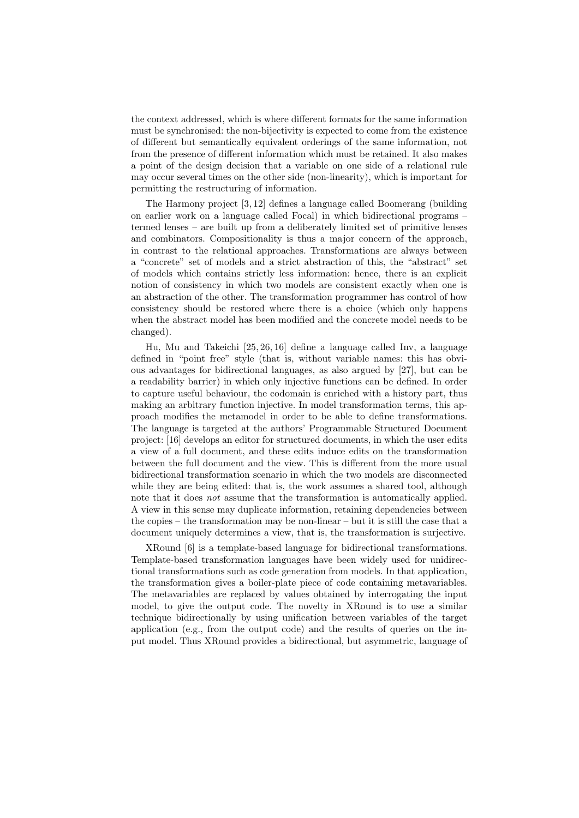the context addressed, which is where different formats for the same information must be synchronised: the non-bijectivity is expected to come from the existence of different but semantically equivalent orderings of the same information, not from the presence of different information which must be retained. It also makes a point of the design decision that a variable on one side of a relational rule may occur several times on the other side (non-linearity), which is important for permitting the restructuring of information.

The Harmony project [3, 12] defines a language called Boomerang (building on earlier work on a language called Focal) in which bidirectional programs – termed lenses – are built up from a deliberately limited set of primitive lenses and combinators. Compositionality is thus a major concern of the approach, in contrast to the relational approaches. Transformations are always between a "concrete" set of models and a strict abstraction of this, the "abstract" set of models which contains strictly less information: hence, there is an explicit notion of consistency in which two models are consistent exactly when one is an abstraction of the other. The transformation programmer has control of how consistency should be restored where there is a choice (which only happens when the abstract model has been modified and the concrete model needs to be changed).

Hu, Mu and Takeichi [25, 26, 16] define a language called Inv, a language defined in "point free" style (that is, without variable names: this has obvious advantages for bidirectional languages, as also argued by [27], but can be a readability barrier) in which only injective functions can be defined. In order to capture useful behaviour, the codomain is enriched with a history part, thus making an arbitrary function injective. In model transformation terms, this approach modifies the metamodel in order to be able to define transformations. The language is targeted at the authors' Programmable Structured Document project: [16] develops an editor for structured documents, in which the user edits a view of a full document, and these edits induce edits on the transformation between the full document and the view. This is different from the more usual bidirectional transformation scenario in which the two models are disconnected while they are being edited: that is, the work assumes a shared tool, although note that it does not assume that the transformation is automatically applied. A view in this sense may duplicate information, retaining dependencies between the copies – the transformation may be non-linear – but it is still the case that a document uniquely determines a view, that is, the transformation is surjective.

XRound [6] is a template-based language for bidirectional transformations. Template-based transformation languages have been widely used for unidirectional transformations such as code generation from models. In that application, the transformation gives a boiler-plate piece of code containing metavariables. The metavariables are replaced by values obtained by interrogating the input model, to give the output code. The novelty in XRound is to use a similar technique bidirectionally by using unification between variables of the target application (e.g., from the output code) and the results of queries on the input model. Thus XRound provides a bidirectional, but asymmetric, language of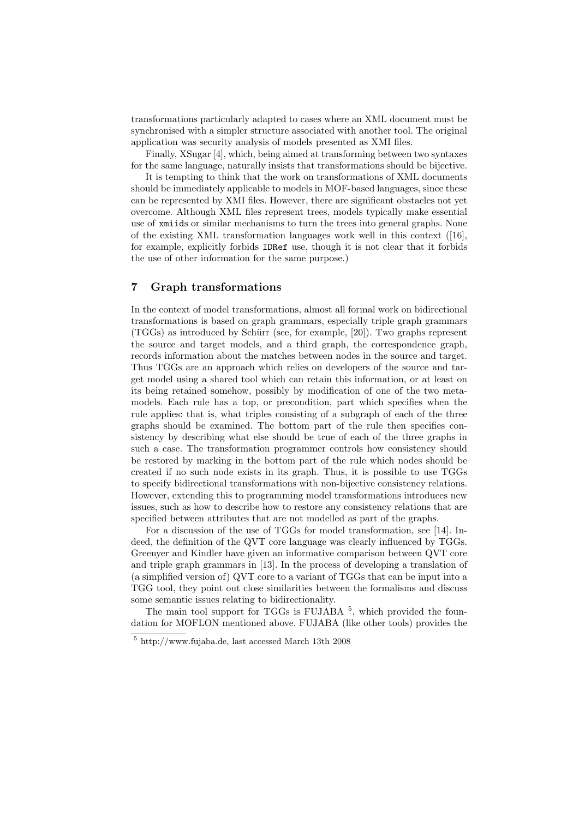transformations particularly adapted to cases where an XML document must be synchronised with a simpler structure associated with another tool. The original application was security analysis of models presented as XMI files.

Finally, XSugar [4], which, being aimed at transforming between two syntaxes for the same language, naturally insists that transformations should be bijective.

It is tempting to think that the work on transformations of XML documents should be immediately applicable to models in MOF-based languages, since these can be represented by XMI files. However, there are significant obstacles not yet overcome. Although XML files represent trees, models typically make essential use of xmiids or similar mechanisms to turn the trees into general graphs. None of the existing XML transformation languages work well in this context ([16], for example, explicitly forbids IDRef use, though it is not clear that it forbids the use of other information for the same purpose.)

### 7 Graph transformations

In the context of model transformations, almost all formal work on bidirectional transformations is based on graph grammars, especially triple graph grammars  $(TGGs)$  as introduced by Schürr (see, for example, [20]). Two graphs represent the source and target models, and a third graph, the correspondence graph, records information about the matches between nodes in the source and target. Thus TGGs are an approach which relies on developers of the source and target model using a shared tool which can retain this information, or at least on its being retained somehow, possibly by modification of one of the two metamodels. Each rule has a top, or precondition, part which specifies when the rule applies: that is, what triples consisting of a subgraph of each of the three graphs should be examined. The bottom part of the rule then specifies consistency by describing what else should be true of each of the three graphs in such a case. The transformation programmer controls how consistency should be restored by marking in the bottom part of the rule which nodes should be created if no such node exists in its graph. Thus, it is possible to use TGGs to specify bidirectional transformations with non-bijective consistency relations. However, extending this to programming model transformations introduces new issues, such as how to describe how to restore any consistency relations that are specified between attributes that are not modelled as part of the graphs.

For a discussion of the use of TGGs for model transformation, see [14]. Indeed, the definition of the QVT core language was clearly influenced by TGGs. Greenyer and Kindler have given an informative comparison between QVT core and triple graph grammars in [13]. In the process of developing a translation of (a simplified version of) QVT core to a variant of TGGs that can be input into a TGG tool, they point out close similarities between the formalisms and discuss some semantic issues relating to bidirectionality.

The main tool support for TGGs is FUJABA  $^5$ , which provided the foundation for MOFLON mentioned above. FUJABA (like other tools) provides the

 $5$  http://www.fujaba.de, last accessed March 13th 2008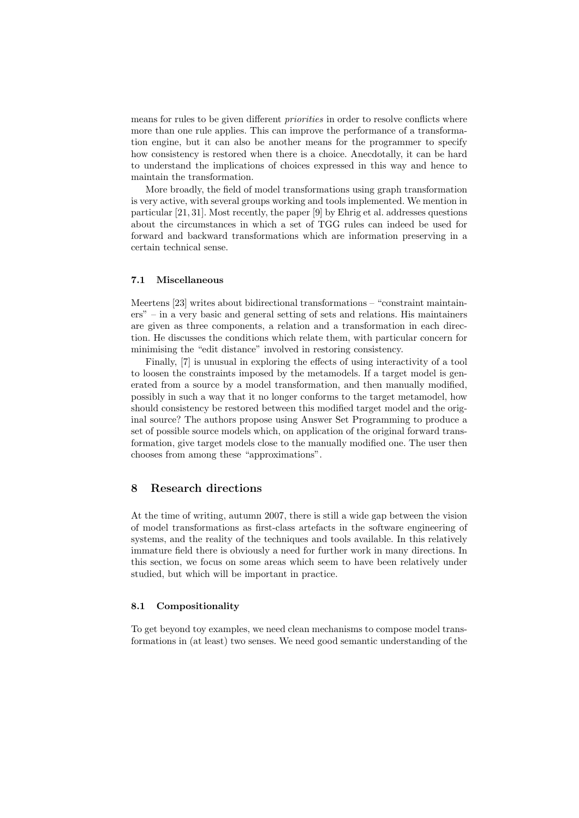means for rules to be given different *priorities* in order to resolve conflicts where more than one rule applies. This can improve the performance of a transformation engine, but it can also be another means for the programmer to specify how consistency is restored when there is a choice. Anecdotally, it can be hard to understand the implications of choices expressed in this way and hence to maintain the transformation.

More broadly, the field of model transformations using graph transformation is very active, with several groups working and tools implemented. We mention in particular [21, 31]. Most recently, the paper [9] by Ehrig et al. addresses questions about the circumstances in which a set of TGG rules can indeed be used for forward and backward transformations which are information preserving in a certain technical sense.

### 7.1 Miscellaneous

Meertens [23] writes about bidirectional transformations – "constraint maintainers" – in a very basic and general setting of sets and relations. His maintainers are given as three components, a relation and a transformation in each direction. He discusses the conditions which relate them, with particular concern for minimising the "edit distance" involved in restoring consistency.

Finally, [7] is unusual in exploring the effects of using interactivity of a tool to loosen the constraints imposed by the metamodels. If a target model is generated from a source by a model transformation, and then manually modified, possibly in such a way that it no longer conforms to the target metamodel, how should consistency be restored between this modified target model and the original source? The authors propose using Answer Set Programming to produce a set of possible source models which, on application of the original forward transformation, give target models close to the manually modified one. The user then chooses from among these "approximations".

## 8 Research directions

At the time of writing, autumn 2007, there is still a wide gap between the vision of model transformations as first-class artefacts in the software engineering of systems, and the reality of the techniques and tools available. In this relatively immature field there is obviously a need for further work in many directions. In this section, we focus on some areas which seem to have been relatively under studied, but which will be important in practice.

### 8.1 Compositionality

To get beyond toy examples, we need clean mechanisms to compose model transformations in (at least) two senses. We need good semantic understanding of the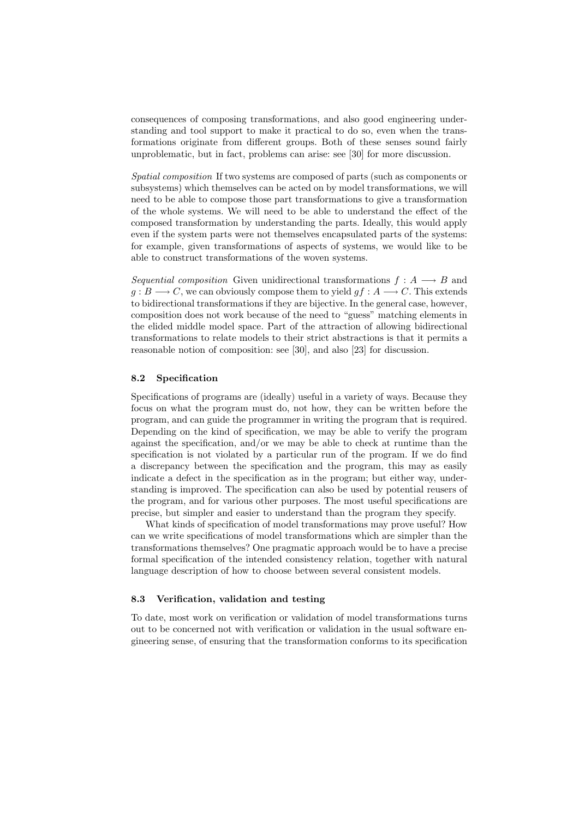consequences of composing transformations, and also good engineering understanding and tool support to make it practical to do so, even when the transformations originate from different groups. Both of these senses sound fairly unproblematic, but in fact, problems can arise: see [30] for more discussion.

Spatial composition If two systems are composed of parts (such as components or subsystems) which themselves can be acted on by model transformations, we will need to be able to compose those part transformations to give a transformation of the whole systems. We will need to be able to understand the effect of the composed transformation by understanding the parts. Ideally, this would apply even if the system parts were not themselves encapsulated parts of the systems: for example, given transformations of aspects of systems, we would like to be able to construct transformations of the woven systems.

Sequential composition Given unidirectional transformations  $f : A \longrightarrow B$  and  $g : B \longrightarrow C$ , we can obviously compose them to yield  $gf : A \longrightarrow C$ . This extends to bidirectional transformations if they are bijective. In the general case, however, composition does not work because of the need to "guess" matching elements in the elided middle model space. Part of the attraction of allowing bidirectional transformations to relate models to their strict abstractions is that it permits a reasonable notion of composition: see [30], and also [23] for discussion.

### 8.2 Specification

Specifications of programs are (ideally) useful in a variety of ways. Because they focus on what the program must do, not how, they can be written before the program, and can guide the programmer in writing the program that is required. Depending on the kind of specification, we may be able to verify the program against the specification, and/or we may be able to check at runtime than the specification is not violated by a particular run of the program. If we do find a discrepancy between the specification and the program, this may as easily indicate a defect in the specification as in the program; but either way, understanding is improved. The specification can also be used by potential reusers of the program, and for various other purposes. The most useful specifications are precise, but simpler and easier to understand than the program they specify.

What kinds of specification of model transformations may prove useful? How can we write specifications of model transformations which are simpler than the transformations themselves? One pragmatic approach would be to have a precise formal specification of the intended consistency relation, together with natural language description of how to choose between several consistent models.

### 8.3 Verification, validation and testing

To date, most work on verification or validation of model transformations turns out to be concerned not with verification or validation in the usual software engineering sense, of ensuring that the transformation conforms to its specification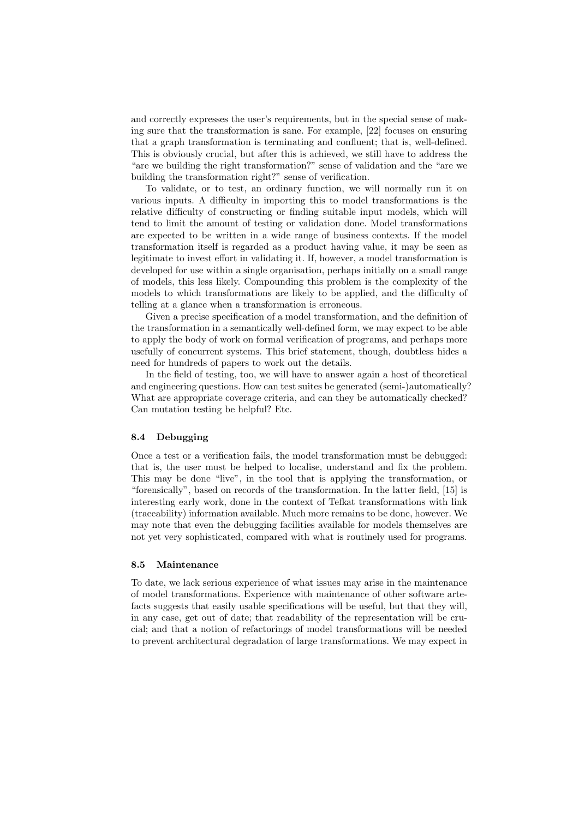and correctly expresses the user's requirements, but in the special sense of making sure that the transformation is sane. For example, [22] focuses on ensuring that a graph transformation is terminating and confluent; that is, well-defined. This is obviously crucial, but after this is achieved, we still have to address the "are we building the right transformation?" sense of validation and the "are we building the transformation right?" sense of verification.

To validate, or to test, an ordinary function, we will normally run it on various inputs. A difficulty in importing this to model transformations is the relative difficulty of constructing or finding suitable input models, which will tend to limit the amount of testing or validation done. Model transformations are expected to be written in a wide range of business contexts. If the model transformation itself is regarded as a product having value, it may be seen as legitimate to invest effort in validating it. If, however, a model transformation is developed for use within a single organisation, perhaps initially on a small range of models, this less likely. Compounding this problem is the complexity of the models to which transformations are likely to be applied, and the difficulty of telling at a glance when a transformation is erroneous.

Given a precise specification of a model transformation, and the definition of the transformation in a semantically well-defined form, we may expect to be able to apply the body of work on formal verification of programs, and perhaps more usefully of concurrent systems. This brief statement, though, doubtless hides a need for hundreds of papers to work out the details.

In the field of testing, too, we will have to answer again a host of theoretical and engineering questions. How can test suites be generated (semi-)automatically? What are appropriate coverage criteria, and can they be automatically checked? Can mutation testing be helpful? Etc.

#### 8.4 Debugging

Once a test or a verification fails, the model transformation must be debugged: that is, the user must be helped to localise, understand and fix the problem. This may be done "live", in the tool that is applying the transformation, or "forensically", based on records of the transformation. In the latter field, [15] is interesting early work, done in the context of Tefkat transformations with link (traceability) information available. Much more remains to be done, however. We may note that even the debugging facilities available for models themselves are not yet very sophisticated, compared with what is routinely used for programs.

### 8.5 Maintenance

To date, we lack serious experience of what issues may arise in the maintenance of model transformations. Experience with maintenance of other software artefacts suggests that easily usable specifications will be useful, but that they will, in any case, get out of date; that readability of the representation will be crucial; and that a notion of refactorings of model transformations will be needed to prevent architectural degradation of large transformations. We may expect in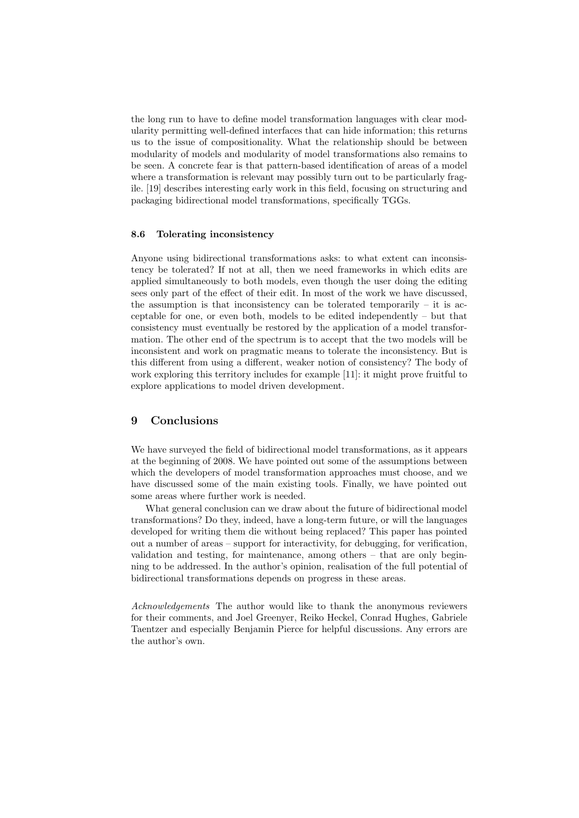the long run to have to define model transformation languages with clear modularity permitting well-defined interfaces that can hide information; this returns us to the issue of compositionality. What the relationship should be between modularity of models and modularity of model transformations also remains to be seen. A concrete fear is that pattern-based identification of areas of a model where a transformation is relevant may possibly turn out to be particularly fragile. [19] describes interesting early work in this field, focusing on structuring and packaging bidirectional model transformations, specifically TGGs.

### 8.6 Tolerating inconsistency

Anyone using bidirectional transformations asks: to what extent can inconsistency be tolerated? If not at all, then we need frameworks in which edits are applied simultaneously to both models, even though the user doing the editing sees only part of the effect of their edit. In most of the work we have discussed, the assumption is that inconsistency can be tolerated temporarily  $-$  it is acceptable for one, or even both, models to be edited independently – but that consistency must eventually be restored by the application of a model transformation. The other end of the spectrum is to accept that the two models will be inconsistent and work on pragmatic means to tolerate the inconsistency. But is this different from using a different, weaker notion of consistency? The body of work exploring this territory includes for example [11]: it might prove fruitful to explore applications to model driven development.

# 9 Conclusions

We have surveyed the field of bidirectional model transformations, as it appears at the beginning of 2008. We have pointed out some of the assumptions between which the developers of model transformation approaches must choose, and we have discussed some of the main existing tools. Finally, we have pointed out some areas where further work is needed.

What general conclusion can we draw about the future of bidirectional model transformations? Do they, indeed, have a long-term future, or will the languages developed for writing them die without being replaced? This paper has pointed out a number of areas – support for interactivity, for debugging, for verification, validation and testing, for maintenance, among others – that are only beginning to be addressed. In the author's opinion, realisation of the full potential of bidirectional transformations depends on progress in these areas.

Acknowledgements The author would like to thank the anonymous reviewers for their comments, and Joel Greenyer, Reiko Heckel, Conrad Hughes, Gabriele Taentzer and especially Benjamin Pierce for helpful discussions. Any errors are the author's own.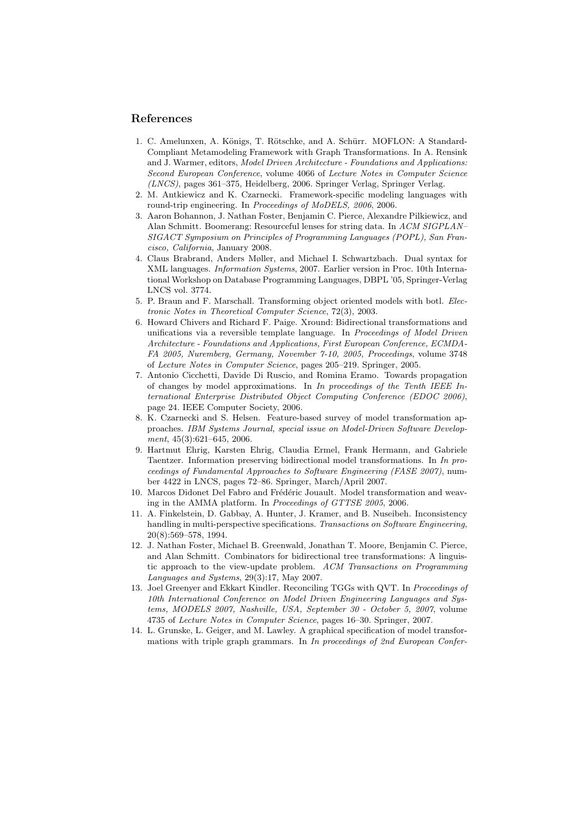### References

- 1. C. Amelunxen, A. Königs, T. Rötschke, and A. Schürr. MOFLON: A Standard-Compliant Metamodeling Framework with Graph Transformations. In A. Rensink and J. Warmer, editors, Model Driven Architecture - Foundations and Applications: Second European Conference, volume 4066 of Lecture Notes in Computer Science (LNCS), pages 361–375, Heidelberg, 2006. Springer Verlag, Springer Verlag.
- 2. M. Antkiewicz and K. Czarnecki. Framework-specific modeling languages with round-trip engineering. In Proceedings of MoDELS, 2006, 2006.
- 3. Aaron Bohannon, J. Nathan Foster, Benjamin C. Pierce, Alexandre Pilkiewicz, and Alan Schmitt. Boomerang: Resourceful lenses for string data. In ACM SIGPLAN– SIGACT Symposium on Principles of Programming Languages (POPL), San Francisco, California, January 2008.
- 4. Claus Brabrand, Anders Møller, and Michael I. Schwartzbach. Dual syntax for XML languages. Information Systems, 2007. Earlier version in Proc. 10th International Workshop on Database Programming Languages, DBPL '05, Springer-Verlag LNCS vol. 3774.
- 5. P. Braun and F. Marschall. Transforming object oriented models with botl. Electronic Notes in Theoretical Computer Science, 72(3), 2003.
- 6. Howard Chivers and Richard F. Paige. Xround: Bidirectional transformations and unifications via a reversible template language. In Proceedings of Model Driven Architecture - Foundations and Applications, First European Conference, ECMDA-FA 2005, Nuremberg, Germany, November 7-10, 2005, Proceedings, volume 3748 of Lecture Notes in Computer Science, pages 205–219. Springer, 2005.
- 7. Antonio Cicchetti, Davide Di Ruscio, and Romina Eramo. Towards propagation of changes by model approximations. In In proceedings of the Tenth IEEE International Enterprise Distributed Object Computing Conference (EDOC 2006), page 24. IEEE Computer Society, 2006.
- 8. K. Czarnecki and S. Helsen. Feature-based survey of model transformation approaches. IBM Systems Journal, special issue on Model-Driven Software Development, 45(3):621–645, 2006.
- 9. Hartmut Ehrig, Karsten Ehrig, Claudia Ermel, Frank Hermann, and Gabriele Taentzer. Information preserving bidirectional model transformations. In In proceedings of Fundamental Approaches to Software Engineering (FASE 2007), number 4422 in LNCS, pages 72–86. Springer, March/April 2007.
- 10. Marcos Didonet Del Fabro and Frédéric Jouault. Model transformation and weaving in the AMMA platform. In Proceedings of GTTSE 2005, 2006.
- 11. A. Finkelstein, D. Gabbay, A. Hunter, J. Kramer, and B. Nuseibeh. Inconsistency handling in multi-perspective specifications. Transactions on Software Engineering, 20(8):569–578, 1994.
- 12. J. Nathan Foster, Michael B. Greenwald, Jonathan T. Moore, Benjamin C. Pierce, and Alan Schmitt. Combinators for bidirectional tree transformations: A linguistic approach to the view-update problem. ACM Transactions on Programming Languages and Systems, 29(3):17, May 2007.
- 13. Joel Greenyer and Ekkart Kindler. Reconciling TGGs with QVT. In Proceedings of 10th International Conference on Model Driven Engineering Languages and Systems, MODELS 2007, Nashville, USA, September 30 - October 5, 2007, volume 4735 of Lecture Notes in Computer Science, pages 16–30. Springer, 2007.
- 14. L. Grunske, L. Geiger, and M. Lawley. A graphical specification of model transformations with triple graph grammars. In In proceedings of 2nd European Confer-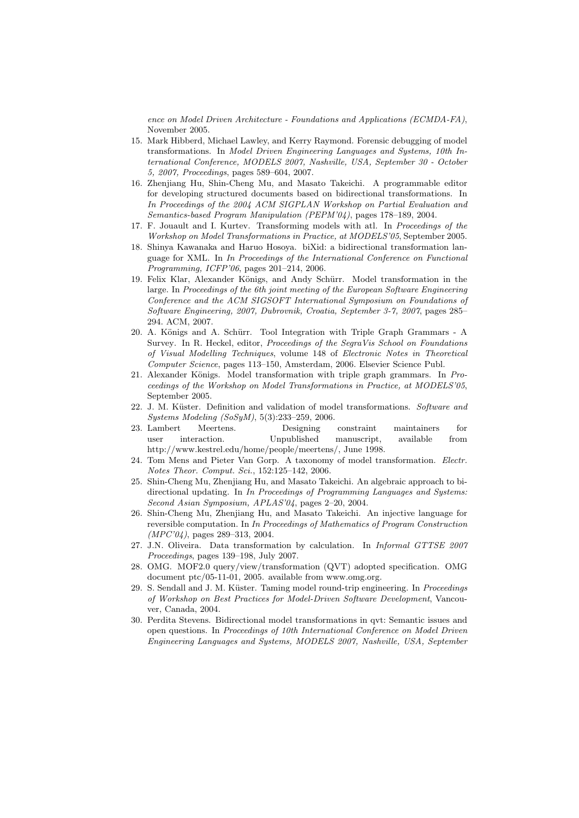ence on Model Driven Architecture - Foundations and Applications (ECMDA-FA), November 2005.

- 15. Mark Hibberd, Michael Lawley, and Kerry Raymond. Forensic debugging of model transformations. In Model Driven Engineering Languages and Systems, 10th International Conference, MODELS 2007, Nashville, USA, September 30 - October 5, 2007, Proceedings, pages 589–604, 2007.
- 16. Zhenjiang Hu, Shin-Cheng Mu, and Masato Takeichi. A programmable editor for developing structured documents based on bidirectional transformations. In In Proceedings of the 2004 ACM SIGPLAN Workshop on Partial Evaluation and Semantics-based Program Manipulation (PEPM'04), pages 178–189, 2004.
- 17. F. Jouault and I. Kurtev. Transforming models with atl. In Proceedings of the Workshop on Model Transformations in Practice, at MODELS'05, September 2005.
- 18. Shinya Kawanaka and Haruo Hosoya. biXid: a bidirectional transformation language for XML. In In Proceedings of the International Conference on Functional Programming, ICFP'06, pages 201–214, 2006.
- 19. Felix Klar, Alexander Königs, and Andy Schürr. Model transformation in the large. In Proceedings of the 6th joint meeting of the European Software Engineering Conference and the ACM SIGSOFT International Symposium on Foundations of Software Engineering, 2007, Dubrovnik, Croatia, September 3-7, 2007, pages 285– 294. ACM, 2007.
- 20. A. Königs and A. Schürr. Tool Integration with Triple Graph Grammars A Survey. In R. Heckel, editor, Proceedings of the SegraVis School on Foundations of Visual Modelling Techniques, volume 148 of Electronic Notes in Theoretical Computer Science, pages 113–150, Amsterdam, 2006. Elsevier Science Publ.
- 21. Alexander Königs. Model transformation with triple graph grammars. In Proceedings of the Workshop on Model Transformations in Practice, at MODELS'05, September 2005.
- 22. J. M. Küster. Definition and validation of model transformations. Software and Systems Modeling (SoSyM), 5(3):233–259, 2006.
- 23. Lambert Meertens. Designing constraint maintainers for user interaction. Unpublished manuscript, available from http://www.kestrel.edu/home/people/meertens/, June 1998.
- Tom Mens and Pieter Van Gorp. A taxonomy of model transformation. Electr. Notes Theor. Comput. Sci., 152:125–142, 2006.
- 25. Shin-Cheng Mu, Zhenjiang Hu, and Masato Takeichi. An algebraic approach to bidirectional updating. In In Proceedings of Programming Languages and Systems: Second Asian Symposium, APLAS'04, pages 2–20, 2004.
- 26. Shin-Cheng Mu, Zhenjiang Hu, and Masato Takeichi. An injective language for reversible computation. In In Proceedings of Mathematics of Program Construction (MPC'04), pages 289–313, 2004.
- 27. J.N. Oliveira. Data transformation by calculation. In Informal GTTSE 2007 Proceedings, pages 139–198, July 2007.
- 28. OMG. MOF2.0 query/view/transformation (QVT) adopted specification. OMG document ptc/05-11-01, 2005. available from www.omg.org.
- 29. S. Sendall and J. M. Küster. Taming model round-trip engineering. In Proceedings of Workshop on Best Practices for Model-Driven Software Development, Vancouver, Canada, 2004.
- 30. Perdita Stevens. Bidirectional model transformations in qvt: Semantic issues and open questions. In Proceedings of 10th International Conference on Model Driven Engineering Languages and Systems, MODELS 2007, Nashville, USA, September